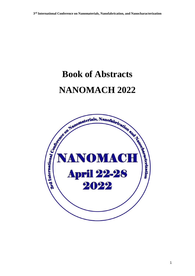# **Book of Abstracts NANOMACH 2022**

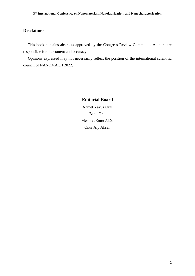# **Disclaimer**

This book contains abstracts approved by the Congress Review Committee. Authors are responsible for the content and accuracy.

Opinions expressed may not necessarily reflect the position of the international scientific council of NANOMACH 2022.

# **Editorial Board**

Ahmet Yavuz Oral Banu Oral Mehmet Emre Aköz Onur Alp Aksan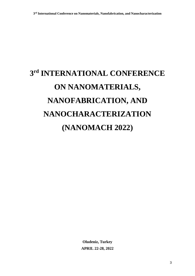# **3 rd INTERNATIONAL CONFERENCE ON NANOMATERIALS, NANOFABRICATION, AND NANOCHARACTERIZATION (NANOMACH 2022)**

**Oludeniz, Turkey APRIL 22-28, 2022**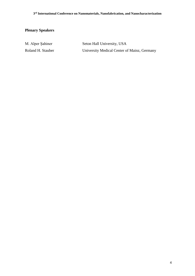# **Plenary Speakers**

| M. Alper Şahiner  | Seton Hall University, USA                  |
|-------------------|---------------------------------------------|
| Roland H. Stauber | University Medical Center of Mainz, Germany |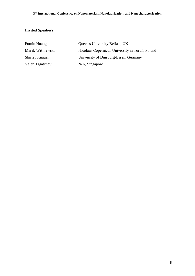# **Invited Speakers**

| <b>Fumin Huang</b>    | Queen's University Belfast, UK                  |
|-----------------------|-------------------------------------------------|
| Marek Wiśniewski      | Nicolaus Copernicus University in Toruń, Poland |
| <b>Shirley Knauer</b> | University of Duisburg-Essen, Germany           |
| Valeri Ligatchev      | $N/A$ , Singapore                               |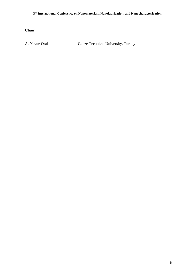**Chair**

A. Yavuz Oral Gebze Technical University, Turkey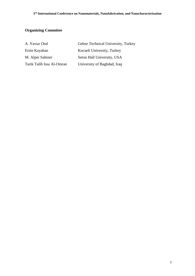# **Organizing Commitee**

| A. Yavuz Oral             | Gebze Technical University, Turkey |
|---------------------------|------------------------------------|
| Ersin Kayahan             | Kocaeli University, Turkey         |
| M. Alper Sahiner          | Seton Hall University, USA         |
| Tarik Talib Issa Al-Omran | University of Baghdad, Iraq        |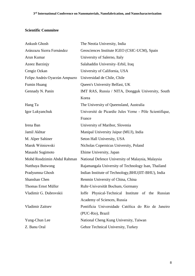# **Scientific Commitee**

| Ankush Ghosh                  | The Neotia University, India                            |
|-------------------------------|---------------------------------------------------------|
| Aránzazu Sierra Fernández     | Geosciences Institute IGEO (CSIC-UCM), Spain            |
| Arun Kumar                    | University of Salerno, Italy                            |
| Azeez Barzinjy                | Salahaddin University-Erbil, Iraq                       |
| Cengiz Ozkan                  | University of California, USA                           |
| Felipe Andrés Oyarzún Ampuero | Universidad de Chile, Chile                             |
| Fumin Huang                   | Queen's University Belfast, UK                          |
| Gennady N. Panin              | IMT RAS, Russia / NITA, Dongguk University, South       |
|                               | Korea                                                   |
| Hang Ta                       | The University of Queensland, Australia                 |
| Igor Lukyanchuk               | Université de Picardie Jules Verne - Pôle Scientifique, |
|                               | France                                                  |
| Irena Ban                     | University of Maribor, Slovenia                         |
| Jamil Akhtar                  | Manipal University Jaipur (MUJ), India                  |
| M. Alper Sahiner              | Seton Hall University, USA                              |
| Marek Wiśniewski              | Nicholas Copernicus University, Poland                  |
| Masashi Sugimoto              | Ehime University, Japan                                 |
| Mohd Rosdzimin Abdul Rahman   | National Defence University of Malaysia, Malaysia       |
| Nutthaya Butwong              | Rajamangala University of Technology Isan, Thailand     |
| Pradyumna Ghosh               | Indian Institute of Technology, BHU(IIT-BHU), India     |
| Shanshan Chen                 | Renmin University of China, China                       |
| Thomas Ernst Müller           | Ruhr-Universität Bochum, Germany                        |
| Vladimir G. Dubrovskii        | Ioffe Physical-Technical Institute of the Russian       |
|                               | Academy of Sciences, Russia                             |
| Vladimir Zaitsev              | Pontifícia Universidade Católica do Rio de Janeiro      |
|                               | (PUC-Rio), Brazil                                       |
| Yung-Chun Lee                 | National Cheng Kung University, Taiwan                  |
| Z. Banu Oral                  | Gebze Technical University, Turkey                      |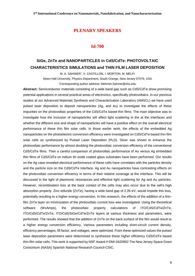#### **PLENARY SPEAKERS**

#### **Id-700**

# **SiGe, ZnTe and NANOPARTICLES in CdS/CdTe: PHOTOVOLTAIC CHARACTERISTICS SIMULATIONS and THIN FILM LASER DEPOSITION**

M. A. SAHINER\* , V. CASTILLON, I. MORTON, M. MELFI

Seton Hall University, Physics Department, South Orange, New Jersey 07079, USA

\*Corresponding author address: Mehmet.Sahiner@shu.edu

**Abstract:** Semiconductor materials consisting of a wide band gap such as CdS/CdTe show promising potential applications in several practical areas of electronics, specifically photovoltaics. In our previous studies at our Advanced Materials Synthesis and Characterization Laboratory (AMSCL) we have used pulsed laser deposition to deposit nanoparticles (Ag, and Au) to investigate the effects of these impurities on the photovoltaic properties of the CdS/CdTe based thin films. The main objective was to investigate how the inclusion of nanoparticles will affect light scattering in the at the interfaces and whether the different size and shape of nanoparticles will have a positive effect on the overall electrical performance of these thin film solar cells. In those earlier work, the effects of the embedded Ag nanoparticles on the photoelectric conversion efficiency were investigated on CdS/CdTe based thin film solar cells as synthesized by Pulsed Laser Deposition (PLD). Silver was shown to enhance the photovoltaic performance by almost doubling the photovoltaic conversion efficiency of the conventional CdS/CdTe films. Then a careful comparison of photovoltaic performance of Au versus Ag embedded thin films of CdS/CdTe on indium tin oxide coated glass substrates have been performed. Our results on the Ag case revealed electrical performance of these cells have correlates with the particles density and the particle size on the CdS/CdTe interface. Ag and Au nanoparticles have contrasting effects on the photovoltaic conversion efficiency in terms of their relative coverage at the interface. This will be discussed in the light of plasmonic resonances and effective light scattering for Ag and Au particles. However, recombination loss at the back contact of the cells may also occur due to the cell's high absorption property. Zinc telluride (ZnTe), having a wide band gap of 2.26 eV, would impede this loss, potentially resulting to a higher energy conversion. In this research, the effects of the addition of a thinfilm ZnTe layer on minimization of the photovoltaic current loss was investigated. Using the theoretical software (WxAmps), the photovoltaic property calculations of ITO/CdS/CdTe/ZnTe, ITO/CdS/CdTe/ZnTe, ITO/CdS/SiGe/CdTe/ZnTe layers at various thickness and parameters, were performed. The results showed that the addition of ZnTe on the back surface of the film would result to a higher energy conversion efficiency. Various parameters including short-circuit current density, efficiency percentages, fill factor, and voltages, were optimized. From these optimized values the pulsed laser deposition parameters were determined to synthesize these higher efficiency CdS/CdTe based thin-film solar cells. This work is supported by NSF Award #:DMI-0420952 The New Jersey Space Grant Consortium (NASA) Spanish National Research Council-CSIC.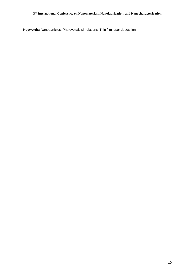**Keywords:** Nanoparticles; Photovoltaic simulations; Thin film laser deposition.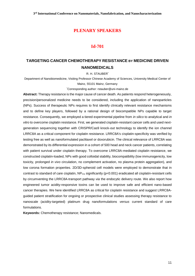## **PLENARY SPEAKERS**

# **Id-701**

# **TARGETING CANCER CHEMOTHERAPY RESISTANCE BY MEDICINE DRIVEN NANOMEDICALS**

R. H. STAUBER\*

Department of Nanobiomedicine, Visiting Professor Chinese Academy of Sciences, University Medical Center of Mainz, 55101 Mainz, Germany

\*Corresponding author: rstauber@uni-mainz.de

**Abstract:** Therapy resistance is the major cause of cancer death. As patients respond heterogeneously, precision/personalized medicine needs to be considered, including the application of nanoparticles (NPs). Success of therapeutic NPs requires to first identify clinically relevant resistance mechanisms and to define key players, followed by a rational design of biocompatible NPs capable to target resistance. Consequently, we employed a tiered experimental pipeline from *in silico* to analytical and *in vitro* to overcome cisplatin resistance. First, we generated cisplatin-resistant cancer cells and used nextgeneration sequencing together with CRISPR/Cas9 knock-out technology to identify the ion channel LRRC8A as a critical component for cisplatin resistance. LRRC8A's cisplatin-specificity was verified by testing free as well as nanoformulated paclitaxel or doxorubicin. The clinical relevance of LRRC8A was demonstrated by its differential expression in a cohort of 500 head and neck cancer patients, correlating with patient survival under cisplatin therapy. To overcome LRRC8A-mediated cisplatin resistance, we constructed cisplatin-loaded, NPs with good colloidal stability, biocompatibility (low immunogenicity, low toxicity, prolonged *in vivo* circulation, no complement activation, no plasma protein aggregation), and low corona formation properties. 2D/3D-spheroid cell models were employed to demonstrate that in contrast to standard of care cisplatin,  $NP_{Cis}$  significantly ( $p<0.001$ ) eradicated all cisplatin-resistant cells by circumventing the LRRC8A-transport pathway *via* the endocytic delivery route. We also report how engineered tumor acidity-responsive toxins can be used to improve safe and efficient nano-based cancer therapies. We here identified LRRC8A as critical for cisplatin resistance and suggest LRRC8Aguided patient stratification for ongoing or prospective clinical studies assessing therapy resistance to nanoscale (acidity-targeted) platinum drug nanoformulations *versus* current standard of care formulations.

**Keywords:** Chemotherapy resistance; Nanomedicals.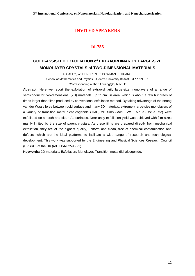# **Id-755**

# **GOLD-ASSISTED EXFOLIATION of EXTRAORDINARILY LARGE-SIZE MONOLAYER CRYSTALS of TWO-DIMENSIONAL MATERIALS**

A. CASEY, W. HENDREN, R. BOWMAN, F. HUANG\*

School of Mathematics and Physics, Queen's University Belfast, BT7 1NN, UK

\*Corresponding author: f.huang@qub.ac.uk

**Abstract:** Here we report the exfoliation of extraordinarily large-size monolayers of a range of semiconductor two-dimensional (2D) materials, up to  $\text{cm}^2$  in area, which is about a few hundreds of times larger than films produced by conventional exfoliation method. By taking advantage of the strong van der Waals force between gold surface and many 2D materials, extremely large-size monolayers of a variety of transition metal dichalcogenide (TMD) 2D films (MoS<sub>2</sub>, WS<sub>2</sub>, MoSe<sub>2</sub>, WSe<sub>2</sub> etc) were exfoliated on smooth and clean Au surfaces. Near unity exfoliation yield was achieved with film sizes mainly limited by the size of parent crystals. As these films are prepared directly from mechanical exfoliation, they are of the highest quality, uniform and clean, free of chemical contamination and defects, which are the ideal platforms to facilitate a wide range of research and technological development. This work was supported by the Engineering and Physical Sciences Research Council (EPSRC) of the UK (ref. EP/N025938/1).

**Keywords:** 2D materials; Exfoliation; Monolayer; Transition metal dichalcogenide.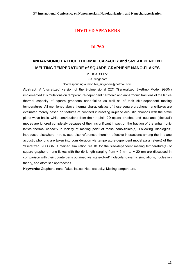# **Id-760**

# **ANHARMONIC LATTICE THERMAL CAPACITY and SIZE-DEPENDENT MELTING TEMPERATURE of SQUARE GRAPHENE NANO-FLAKES**

V. LIGATCHEV\*

N/A, Singapore

\*Corresponding author: lva\_singapore@hotmail.com

**Abstract:** A 'discretized' version of the 2-dimensional (2D) 'Generalized Skettrup Model' (GSM) implemented at simulations on temperature-dependent harmonic and anharmonic fractions of the lattice thermal capacity of square graphene nano-flakes as well as of their size-dependent melting temperatures. All mentioned above thermal characteristics of those square graphene nano-flakes are evaluated merely based on features of confined interacting in-plane acoustic phonons with the static plane-wave basis, while contributions from their in-plain 2D optical braches and 'outplane' ('flexural') modes are ignored completely because of their insignificant impact on the fraction of the anharmonic lattice thermal capacity in vicinity of melting point of those nano-flakes(s). Following 'ideologies', introduced elsewhere in refs. (see also references therein), effective interactions among the in-plane acoustic phonons are taken into consideration via temperature-dependent model parameter(s) of the 'discretized' 2D GSM. Obtained simulation results for the size-dependent melting temperature(s) of square graphene nano-flakes with the rib length ranging from  $\sim$  5 nm to  $\sim$  20 nm are discussed in comparison with their counterparts obtained via 'state-of-art' molecular dynamic simulations, nucleation theory, and atomistic approaches.

**Keywords:** Graphene nano-flakes lattice; Heat capacity; Melting temperature.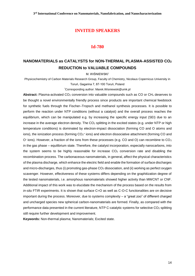#### **Id-780**

# **NANOMATERIALS as CATALYSTS for NON-THERMAL PLASMA-ASSISTED CO<sup>2</sup> REDUCTION to VALUABLE COMPOUNDS**

M. WIŚNIEWSKI\*

Physicochemistry of Carbon Materials Research Group, Faculty of Chemistry, Nicolaus Copernicus University in Toruń, Gagarina 7, 87-100 Toruń, Poland

\*Corresponding author: Marek.Wisniewski@umk.pl

Abstract: Plasma-activated CO<sub>2</sub> conversion into valuable compounds such as CO or CH<sub>x</sub> deserves to be thought a novel environmentally friendly process since products are important chemical feedstock for synthetic fuels through the Fischer–Tropsch and methanol synthesis processes. It is possible to perform the reaction under NTP conditions (without a catalyst) and the overall process reaches the equilibrium, which can be manipulated e.g. by increasing the specific energy input (SEI) due to an increase in the average electron density. The  $CO<sub>2</sub>$  splitting in the excited states (e.g. under NTP or high temperature conditions) is dominated by electron-impact dissociation (forming CO and O atoms and ions), the ionization process (forming  $CO<sub>2</sub>$ + ions) and electron dissociative attachment (forming CO and O<sup>-</sup> ions). However, a fraction of the ions from these processes (e.g. CO and O) can recombine to CO<sub>2</sub> in the gas phase – equilibrium state. Therefore, the catalyst incorporation, especially nanocarbons, into the system seems to be highly reasonable for increase  $CO<sub>2</sub>$  conversion rate and disabling the recombination process. The carbonaceous nanomaterials, in general, affect the physical characteristics of the plasma discharge, which enhance the electric field and enable the formation of surface discharges and micro-discharges, thus (i) promoting gas-phase  $CO<sub>2</sub>$  dissociation, and (ii) working as perfect oxygen scavenger. However, effectiveness of these systems differs depending on the graphitization degree of the tested nanomaterials, i.e. amorphous nanomaterials showed higher activity than MWCNT or CNF. Additional impact of this work was to elucidate the mechanism of the process based on the results from *in-situ* FTIR experiments. It is shown that surface C=O as well as C-O-C functionalities are on decisive important during the process. Moreover, due to systems complexity – a "great zoo" of different charged and uncharged species new spherical carbon-nanomaterials are formed. Finally, as compared with the performance data presented in the current literature, NTP C-catalytic systems for selective CO<sub>2</sub> splitting still require further development and improvement.

**Keywords:** Non-thermal plasma; Nanomaterials; Excited state.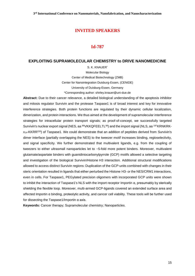### **Id-787**

#### **EXPLOITING SUPRAMOLECULAR CHEMISTRY to DRIVE NANOMEDICINE**

S. K. KNAUER\* Molecular Biology Center of Medical Biotechnology (ZMB) Center for Nanointegration Duisburg-Essen, (CENIDE) University of Duisburg-Essen, Germany \*Corresponding author: shirley.knauer@uni-due.de

**Abstract:** Due to their cancer relevance, a detailed biological understanding of the apoptosis inhibitor and mitosis regulator Survivin and the protease Taspase1 is of broad interest and key for innovative interference strategies. Both protein functions are regulated by their dynamic cellular localization, dimerization, and protein interactions. We thus aimed at the development of supramolecular interference strategies for intracellular protein transport signals; as proof-of-concept, we successfully targeted Survivin's nuclear export signal (NES, aa <sup>89</sup>VKKQFEELTL<sup>98</sup>) and the import signal (NLS, aa <sup>197</sup>KRNKRKx14-KKRR<sup>220</sup>) of Taspase1. We could demonstrate that an addition of peptides derived from Survivin's dimer interface (partially overlapping the NES) to the tweezer motif increases binding, regioselectivity, and signal specificity. We further demonstrated that multivalent ligands, e.g. from the coupling of tweezers to either ultrasmall nanoparticles let to ~5-fold more potent binders. Moreover, multivalent glutamate/aspartate binders with guanidiniocarbonylpyrrole (GCP) motifs allowed a selective targeting and investigation of the biological Survivin/Histone H3 interaction. Additional structural modifications allowed to access distinct Survivin regions: Duplication of the GCP-units combined with changes in their steric orientation resulted in ligands that either perturbed the Histone H3- or the NES/CRM1 interactions, even in cells. For Taspase1, PEGylated precision oligomers with incorporated GCP units were shown to inhibit the interaction of Taspase1's NLS with the import receptor Importin α, presumably by sterically shielding the flexible loop. Moreover, multi-armed GCP-ligands covered an extended surface area and affected Importin α binding, proteolytic activity, and cancer cell viability. These tools will be further used for dissecting the Taspase1/Importin α axis.

**Keywords:** Cancer therapy; Supramolecular chemistry; Nanoparticles.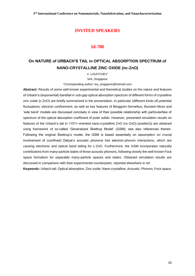#### **Id-788**

# **On NATURE of URBACH'S TAIL in OPTICAL ABSORPTION SPECTRUM of NANO-CRYSTALLINE ZINC OXIDE (nc-ZnO)**

V. LIGATCHEV\*

N/A, Singapore

\*Corresponding author: lva\_singapore@hotmail.com

**Abstract:** Results of some well-known experimental and theoretical studies on the nature and features of Urbach's (exponential) bandtail in sub-gap optical absorption spectrum of different forms of crystalline zinc oxide (c-ZnO) are briefly summarized in the presentation. In particular (different kinds of) potential fluctuations, electron confinement, as well as key features of Berggren-Sernellius, Burstein-Moss and 'side band' models are discussed concisely in view of their possible relationship with particularities of spectrum of the optical absorption coefficient of polar solids. However, presented simulation results on features of the Urbach's tail in <101>-oriented nano-crystalline ZnO (nc-ZnO) powder(s) are obtained using framework of so-called 'Generalized Skettrup Model' (GSM); see also references therein. Following the original Skettrup's model, the GSM is based essentially on assumption on crucial involvement of (confined) Debye's acoustic phonons into electron-phonon interactions, which are causing electronic and optical band tailing for c-ZnO. Furthermore, the GSM incorporates naturally contributions from many-particle states of those acoustic phonons, following closely the well-known Fock space formalism for separable many-particle spaces and states. Obtained simulation results are discussed in comparison with their experimental counterparts, reported elsewhere in ref.

**Keywords:** Urbach tail; Optical absorption; Zinc oxide; Nano-crystalline; Acoustic; Phonon; Fock space.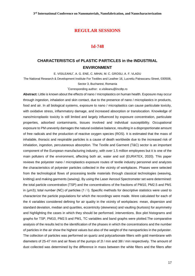#### **Id-748**

# **CHARACTERISTICS of PLASTIC PARTICLES in the INDUSTRIAL ENVIRONMENT**

E. VISILEANU\* , A. G. ENE, C. MIHAI, M. C. GROSU, A. F. VLADU

The National Research & Development Institute For Textiles and Leather 16, Lucretiu Patrascanu Street, 030508, Sector 3, Bucharest, Romania

\*Corresponding author: [e.visileanu@incdtp.ro](mailto:e.visileanu@incdtp.ro)

**Abstract:** Little is known about the effects of nano / microplastics on human health. Exposure may occur through ingestion, inhalation and skin contact, due to the presence of nano / microplastics in products, food and air. In all biological systems, exposure to nano / microplastics can cause particulate toxicity, with oxidative stress, inflammatory damage, and increased absorption or translocation. Knowledge of nano/microplastic toxicity is still limited and largely influenced by exposure concentration, particulate properties, adsorbed contaminants, tissues involved and individual susceptibility. Occupational exposure to PM unevenly damages the natural oxidative balance, resulting in a disproportionate amount of free radicals and the production of reactive oxygen species (ROS). It is estimated that the mass of inhalable, thoracic and respirable particles is a cause of death worldwide due to the increased risk of inhalation, ingestion, percutaneous absorption. The Textile and Garment (T&C) sector is an important component of the European manufacturing industry, with over 1.5 million employees but it is one of the main polluters of the environment, affecting both air, water and soil (EURATEX, 2020). This paper reviews the polyester nano / microplastics exposure routes of textile industry personnel and analyzes the characteristics of polyester particles collected in the vicinity of workplaces. Phases were selected from the technological flows of processing textile materials through classical technologies (weaving, knitting) and making garments (sewing). By using the Laser Aerosol Spectrometer set were determined: the total particle concentration (TSP) and the concentrations of the fractions of PM10, PM2.5 and PM1 in (µm3); total number (NC) of particles (1 / l). Specific methods for descriptive statistics were used to characterize the particle populations for which the recordings were made. Were calculated for each of the 4 variables considered defining for air quality in the vicinity of workplaces: mean, dispersion and standard deviation, median and quartiles, eccentricity (skewness) and vaulting (kurtosis) for asymmetry and highlighting the cases in which they should be performed. interventions. Box plot histograms and graphs for TSP, PM10, PM2.5 and PM1, TC variables and band graphs were plotted.The comparative analysis of the results led to the identification of the phases in which the concentrations and the number of particles in the air show the highest values but also of the weight of the nanoparticles in the polyester. The collection of particles was performed on quartz and polycarbonate filters with gold membrane with diameters of 25-47 mm and air flows of the pumps of 2l / min and 38l / min respectively. The amount of dust collected was determined by the difference in mass between the white filters and the filters after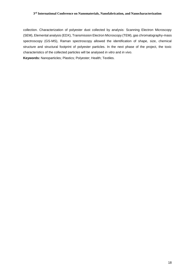#### **3 rd International Conference on Nanomaterials, Nanofabrication, and Nanocharacterization**

collection. Characterization of polyester dust collected by analysis: Scanning Electron Microscopy (SEM), Elemental analysis (EDX), Transmission Electron Microscopy (TEM), gas chromatography-mass spectroscopy (GS-MS), Raman spectroscopy allowed the identification of shape, size, chemical structure and structural footprint of polyester particles. In the next phase of the project, the toxic characteristics of the collected particles will be analysed *in vitro* and *in vivo*. **Keywords:** Nanoparticles; Plastics; Polyester; Health; Textiles.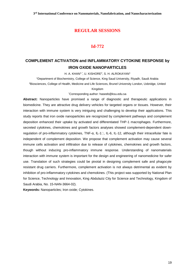# **Id-772**

# **COMPLEMENT ACTIVATION and INFLAMMATORY CYTOKINE RESPONSE by IRON OXIDE NANOPARTICLES**

H. A. KHAN1,\*, U. KISHORE<sup>2</sup>, S. H. ALROKAYAN1

<sup>1</sup>Department of Biochemistry, College of Science, King Saud University, Riyadh, Saudi Arabia

<sup>2</sup>Biosciences, College of Health, Medicine and Life Sciences, Brunel University London, Uxbridge, United

#### Kingdom

\*Corresponding author: haseeb@ksu.edu.sa

**Abstract:** Nanoparticles have promised a range of diagnostic and therapeutic applications in biomedicine. They are attractive drug delivery vehicles for targeted organs or tissues. However, their interaction with immune system is very intriguing and challenging to develop their applications. This study reports that iron oxide nanoparticles are recognized by complement pathways and complement deposition enhanced their uptake by activated and differentiated THP-1 macrophages. Furthermore, secreted cytokines, chemokines and growth factors analyses showed complement-dependent downregulation of pro-inflammatory cytokines, TNF-α, IL-1 , IL-6, IL-12, although their intracellular fate is independent of complement deposition. We propose that complement activation may cause several immune cells activation and infiltration due to release of cytokines, chemokines and growth factors, though without inducing pro-inflammatory immune response. Understanding of nanomaterials interaction with immune system is important for the design and engineering of nanomedicine for safer use. Translation of such strategies could be pivotal in designing complement safe and phagocyte resistant drug carriers. Furthermore, complement activation is not always detrimental as evident by inhibition of pro-inflammatory cytokines and chemokines. (This project was supported by National Plan for Science, Technology and Innovation, King Abdulaziz City for Science and Technology, Kingdom of Saudi Arabia, No. 15-NAN-3664-02).

**Keywords:** Nanoparticles; Iron oxide; Cytokines.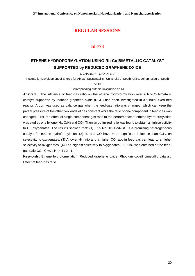#### **Id-773**

# **ETHENE HYDROFORMYLATION USING Rh-Co BIMETALLIC CATALYST SUPPORTED by REDUCED GRAPHENE OXIDE**

J. CHANG, Y. YAO, X. LIU\*

Institute for Development of Energy for African Sustainability, University of South Africa, Johannesburg, South

#### Africa

\*Corresponding author: [liux@unisa.ac.za](mailto:liux@unisa.ac.za)

**Abstract:** The influence of feed-gas ratio on the ethene hydroformylation over a Rh-Co bimetallic catalyst supported by reduced graphene oxide (RGO) has been investigated in a tubular fixed bed reactor. Argon was used as balance gas when the feed-gas ratio was changed, which can keep the partial pressure of the other two kinds of gas constant while the ratio of one component in feed-gas was changed. First, the effect of single component gas ratio to the performance of ethene hydroformylation was studied one by one (H<sub>2</sub>, C<sub>2</sub>H<sub>4</sub> and CO). Then an optimized ratio was found to obtain a high selectivity to C3 oxygenates. The results showed that: (1) 0.5%Rh-20%Co/RGO is a promising heterogeneous catalyst for ethene hydroformylation. (2)  $H_2$  and CO have more significant influence than C<sub>2</sub>H<sub>4</sub> on selectivity to oxygenates. (3) A lower  $H_2$  ratio and a higher CO ratio in feed-gas can lead to a higher selectivity to oxygenates. (4) The highest selectivity to oxygenates, 61.70%, was obtained at the feedgas ratio CO :  $C_2H_4$  :  $H_2 = 4$  : 2 : 1.

**Keywords:** Ethene hydroformylation; Reduced graphene oxide; Rhodium cobalt bimetallic catalyst; Effect of feed-gas ratio.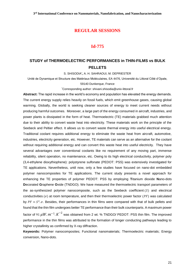#### **Id-775**

# **STUDY of THERMOELECTRIC PERFORMANCES in THIN-FILMS vs BULK PELLETS**

S. SHISODIA\* **,** A. H. SAHRAOUI, M. DEPRIESTER

Unité de Dynamique et Structure des Matériaux Moléculaires, EA 4476, Université du Littoral Côté d'Opale,

59140 Dunkerque, France

\*[Corresponding author: shivani.shisodia@univ-littoral.fr](mailto:*Corresponding%20author:%20shivani.shisodia@univ-littoral.fr)

**Abstract:** The rapid increase in the world's economy and population has elevated the energy demands. The current energy supply relies heavily on fossil fuels, which emit greenhouse gases, causing global warming. Globally, the world is seeking cleaner sources of energy to meet current needs without producing harmful outcomes. Moreover, a large part of the energy consumed in aircraft, industries, and power plants is dissipated in the form of heat. Thermoelectric (TE) materials grabbed much attention due to their ability to convert waste heat into electricity. These materials work on the principle of the Seebeck and Peltier effect. It allows us to convert waste thermal energy into useful electrical energy. Traditional coolant requires additional energy to eliminate the waste heat from aircraft, automotive, industries, electricity generation, etc. However, TE materials can serve as an alternative for the coolant without requiring additional energy and can convert this waste heat into useful electricity. They have several advantages over conventional coolants like no requirement of any moving part, immense reliability, silent operation, no maintenance, etc. Owing to its high electrical conductivity, polymer poly (3,4-ethylene dioxythiophene): polystyrene sulfonate (PEDOT: PSS) was extensively investigated for TE applications. Nevertheless, until now, only a few studies have focused on nano-dot embedded polymer nanocomposites for TE applications. The current study presents a novel approach for enhancing the TE properties of polymer PEDOT: PSS by employing **T**itanium dioxide **N**ano-dots **D**ecorated **G**raphene **O**xide (TNDGO). We have measured the thermoelectric transport parameters of the as-synthesized polymer nanocomposite, such as the Seebeck coefficient  $(S)$  and electrical conductivities ( $\sigma$ ) at room temperature, and then their thermoelectric power factor (PF) was calculated by  $PF = S^2 \sigma$ . Besides, their performances in thin films were compared with that of bulk pellets and found that the thin film undergoes better TE performance than their bulk counterparts. A maximum power factor of 91  $\mu W .m^{-1} .K^{-2}$  was obtained from 2 wt. % TNDGO/ PEDOT: PSS thin film. The improved performance in the thin films was attributed to the formation of longer conducting pathways leading to higher crystallinity as confirmed by X-ray diffraction.

**Keywords:** Polymer nanocomposites; Functional nanomaterials; Thermoelectric materials; Energy conversion, Nano-dots.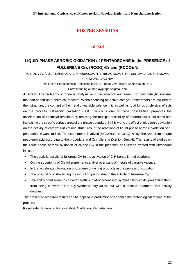# **Id-728**

# **LIQUID-PHASE AEROBIC OXIDATION of PENTADECANE in the PRESENCE of FULLERENE C60, (RCOO)3Cr and (RCOO)2Ni**

A. Z. ALIYEVA\* , U. A. KARIMOVA, V. M. ABBASOV, H. C. IBRAGIMOV, Y. H. YUSIFOV, L. KH. KASIMOVA, Y. H. MAMMADALIYEV

> Institute of Petrochemical Processes of ANAS, Baku, Azerbaijan, Khojaly avenue 30 \*Corresponding author: [aygunphd@gmail.com](mailto:aygunphd@gmail.com)

**Abstract:** The problems of modern catalysis lie in the selection and search for new catalytic systems that can speed up a chemical reaction. When choosing an active catalyst, researchers are inclined to their structure, the content of the metal of variable valence in it, as well as to all kinds of physical effects on the process. Ultrasonic cavitation (USC), which is one of these possibilities, promotes the acceleration of chemical reactions by realizing the multiple possibility of intermolecular collisions and increasing the specific surface area of the phase boundary. In this work, the effect of ultrasonic cavitation on the activity of catalysts of various structures in the reactions of liquid-phase aerobic oxidation of npentadecane was studied. The experiments involved (RCOO)3Cr, (RCOO)<sub>2</sub>Ni, synthesized from natural petroleum acid according to the procedure and  $C_{60}$  fullerene (Xzillion GmbH). The results of studies on the liquid-phase aerobic oxidation of alkane  $C_{15}$  in the presence of fullerene treated with ultrasound indicate:

- The catalytic activity of fullerene  $C_{60}$  in the activation of C-H bonds in hydrocarbons;
- On the superiority of  $C_{60}$  fullerene nanocatalyst over salts of metals of variable valence;
- In the accelerated formation of oxygen-containing products in the process of oxidation;
- The possibility of shortening the induction period due to the activity of fullerene C<sub>60</sub>;
- The ability of fullerene to convert paraffinic hydrocarbons into synthetic fatty acids, preventing them from being converted into oxy-synthetic fatty acids, but with ultrasonic treatment, this activity doubles.

The presented research results can be applied in production to enhance the technological regime of the process.

**Keywords:** Fullerene; Nanocatalyst; Oxidation; Pentadecane.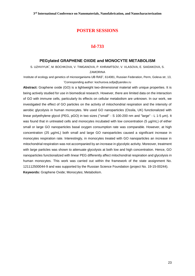#### **Id-733**

#### **PEGylated GRAPHENE OXIDE and MONOCYTE METABOLISM**

S. UZHVIYUK\* , M. BOCHKOVA, V. TIMGANOVA, P. KHRAMTSOV, V. VLASOVA, E. SAIDAKOVA, S. **ZAMORINA** 

Institute of ecology and genetics of microorganisms UB RAS", 614081, Russian Federation, Perm, Goleva str, 13, \*Corresponding author: kochurova.sofja@yandex.ru

**Abstract:** Graphene oxide (GO) is a lightweight two-dimensional material with unique properties. It is being actively studied for use in biomedical research. However, there are limited data on the interaction of GO with immune cells, particularly its effects on cellular metabolism are unknown. In our work, we investigated the effect of GO particles on the activity of mitochondrial respiration and the intensity of aerobic glycolysis in human monocytes. We used GO nanoparticles (Ossila, UK) functionalized with linear polyethylene glycol (PEG, pGO) in two sizes ("small" - S 100-200 nm and "large" - L 1-5 μm). It was found that in untreated cells and monocytes incubated with low concentration (5 μg/mL) of either small or large GO nanoparticles basal oxygen consumption rate was comparable. However, at high concentration (25 μg/mL) both small and large GO nanoparticles caused a significant increase in monocytes respiration rate. Interestingly, in monocytes treated with GO nanoparticles an increase in mitochondrial respiration was not accompanied by an increase in glycolytic activity. Moreover, treatment with large particles was shown to attenuate glycolysis at both low and high concentration. Hence, GO nanoparticles functionalized with linear PEG differently affect mitochondrial respiration and glycolysis in human monocytes. This work was carried out within the framework of the state assignment No. 121112500044-9 and was supported by the Russian Science Foundation (project No. 19-15-00244). **Keywords:** Graphene Oxide; Monocytes; Metabolism.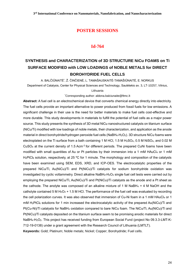#### **Id-764**

# **SYNTHESIS and CHARACTERIZATION of 3D STRUCTURE NiCu FOAMS on Ti SURFACE MODIFIED with LOW LOADINGS of NOBLE METALS for DIRECT BOROHYDRIDE FUEL CELLS**

A. BALČIŪNAITĖ̇́, Ž. ČINČIENĖ, L. TAMAŠAUSKAITĖ-TAMAŠIŪNAITĖ, E. NORKUS Department of Catalysis, Center for Physical Sciences and Technology, Saulėtekio av. 3, LT-10257, Vilnius, Lithuania

\*Corresponding author: aldona.balciunaite@ftmc.lt

**Abstract:** A fuel cell is an electrochemical device that converts chemical energy directly into electricity. The fuel cells provide an important alternative to power produced from fossil fuels for low emissions. A significant challenge in their use is the need for better materials to make fuel cells cost-effective and more durable. This study developments in materials to fulfill the potential of fuel cells as a major power source. This study presents the synthesis of 3D metal NiCu nanostructured catalysts on titanium surface (NiCu/Ti) modified with low loadings of noble metals, their characterization, and application as the anode material in direct borohydride/hydrogen peroxide fuel cells (NaBH<sub>4</sub>-H<sub>2</sub>O<sub>2</sub>). 3D structure NiCu foams were electroplated on the Ti surface from a bath containing 1 M HCl, 1.5 M H<sub>2</sub>SO<sub>4</sub>, 0.5 M NiSO<sub>4</sub>, and 0.02 M CuSO<sub>4</sub> at the current density of 1.5 Acm<sup>-2</sup> for different periods. The prepared CuNi foams have been modified with small quantities of Au or Pt particles by their immersion into a 1 mM HAuCl<sub>4</sub> or 1 mM H<sub>2</sub>PtCl<sub>6</sub> solution, respectively, at 25 °C for 1 minute. The morphology and composition of the catalysts have been examined using SEM, EDS, XRD, and ICP-OES. The electrocatalytic properties of the prepared NiCu/Ti, Au(NiCu)/Ti and Pt(NiCu)/Ti catalysts for sodium borohydride oxidаtion wаs investigated by cyclic voltammetry. Direct alkaline NaBH<sub>4</sub>-H<sub>2</sub>O<sub>2</sub> single fuel cell tests were carried out by employing the prepared NiCu/Ti, Au(NiCu)/Ti and Pt(NiCu)/Ti catalysts as the anode and a Pt sheet as the cathode. The anolyte was composed of an alkaline mixture of 1 M NaBH $_4$  + 4 M NaOH and the catholyte contained 5 M H<sub>2</sub>O<sub>2</sub> + 1.5 M HCl. The performance of the fuel cell was evaluated by recording the cell polarization curves. It was also observed that immersion of Cu-Ni foam in a 1 mM HAuCl4 or 1 mM H<sub>2</sub>PtCl<sub>6</sub> solutions for 1 min increased the electrocatalytic activity of the prepared Au(NiCu)/Ti and Pt(Cu-Ni)/Ti catalysts for NaBH<sup>4</sup> oxidation compared to bare NiCu foam. The NiCu/Ti, Au(NiCu)/Ti and Pt(NiCu)/Ti catalysts deposited on the titanium surface seem to be promising anodic materials for direct NaBH4-H2O2. This project has received funding from European Social Fund (project No 09.3.3-LMT-K-712-19-0138) under a grant agreement with the Research Council of Lithuania (LMTLT).

**Keywords:** Gold; Platinum; Noble metals; Nickel; Copper; Borohydride; Fuel cells.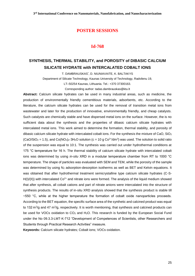#### **Id-768**

# **SYNTHESIS, THERMAL STABILITY, and POROSITY of DIBASIC CALCIUM SILICATE HYDRATE with INTERCALATED COBALT IONS**

T. DAMBRAUSKAS\* , D. NIUNIAVAITE, K. BALTAKYS

Department of Silicate Technology, Kaunas University of Technology, Radvilenu 19,

LT–50254 Kaunas, Lithuania. Tel.: +370 37300163.

Corresponding author: tadas.dambrauskas@ktu.lt

**Abstract:** Calcium silicate hydrates can be used in many industrial areas, such as medicine, the production of environmentally friendly cementitious materials, adsorbents, etc. According to the literature, the calcium silicate hydrates can be used for the removal of transition metal ions from wastewater and later for the production of innovative, environmentally friendly, and cheap catalysts. Such catalysts are chemically stable and have dispersed metal ions on the surface. However, the is no sufficient data about the synthesis and the properties of dibasic calcium silicate hydrates with intercalated metal ions. This work aimed to determine the formation, thermal stability, and porosity of dibasic calcium silicate hydrate with intercalated cobalt ions. For the synthesis the mixture of CaO, SiO<sub>2</sub>  $(CaO/SiO<sub>2</sub> = 1.5)$ , and  $Co(NO<sub>3</sub>)<sub>2</sub>·3H<sub>2</sub>O$  solution (c = 10 g  $Co<sup>2+</sup>/dm<sup>3</sup>$ ) was used. The solution to solid ratio of the suspension was equal to 10:1. The synthesis was carried out under hydrothermal conditions at 175 °C temperature for 16 h. The thermal stability of calcium silicate hydrate with intercalated cobalt ions was determined by using *in-situ* XRD in a modular temperature chamber from RT to 1000 °C temperature. The shape of particles was evaluated with SEM and TEM, while the porosity of the sample was determined by using N<sub>2</sub> adsorption-desorption isotherms as well as BET and Kelvin equations. It was obtained that after hydrothermal treatment semicrystalline type calcium silicate hydrates (C-S-H(I)/(II)) with intercalated Co<sup>2+</sup> and nitrate ions were formed. The analysis of the liquid medium showed that after synthesis, all cobalt cations and part of nitrate anions were intercalated into the structure of synthesis products. The results of in-situ XRD analysis showed that the synthesis product is stable till  $\sim$ 550 °C, while at the higher temperature the formation of cobalt oxide nanoparticles proceeds. According to the BET equation, the specific surface area of the synthetic and calcined product was equal to 132 m<sup>2</sup>/g and 47 m<sup>2</sup>/g, respectively. It is worth mentioning, that synthesis and calcined products can be used for VOCs oxidation to CO<sub>2</sub> and H<sub>2</sub>O. This research is funded by the European Social Fund under the No 09.3.3-LMT-K-712 "Development of Competences of Scientists, other Researchers and Students through Practical Research Activities" measure.

**Keywords:** Calcium silicate hydrates; Cobalt ions; VOCs oxidation.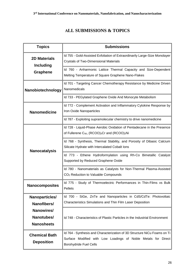# **ALL SUBMISSIONS & TOPICS**

| <b>Topics</b>                             | <b>Submissions</b>                                                                                                                                                         |
|-------------------------------------------|----------------------------------------------------------------------------------------------------------------------------------------------------------------------------|
| <b>2D Materials</b><br><b>Including</b>   | Id 755 - Gold-Assisted Exfoliation of Extraordinarily Large-Size Monolayer<br><b>Crystals of Two-Dimensional Materials</b>                                                 |
| <b>Graphene</b>                           | Id 760 - Anharmonic Lattice Thermal Capacity and Size-Dependent<br>Melting Temperature of Square Graphene Nano-Flakes                                                      |
| Nanobiotechnology                         | Id 701 - Targeting Cancer Chemotherapy Resistance by Medicine Driven<br>Nanomedicals                                                                                       |
|                                           | Id 733 - PEGylated Graphene Oxide And Monocyte Metabolism                                                                                                                  |
| <b>Nanomedicine</b>                       | Id 772 - Complement Activation and Inflammatory Cytokine Response by<br>Iron Oxide Nanoparticles                                                                           |
|                                           | Id 787 - Exploiting supramolecular chemistry to drive nanomedicine                                                                                                         |
|                                           | Id 728 - Liquid-Phase Aerobic Oxidation of Pentadecane in the Presence<br>of Fullerene $C_{60}$ , (RCOO) <sub>3</sub> Cr and (RCOO) <sub>2</sub> Ni                        |
| <b>Nanocatalysis</b>                      | Id 768 - Synthesis, Thermal Stability, and Porosity of Dibasic Calcium<br>Silicate Hydrate with Intercalated Cobalt Ions                                                   |
|                                           | Id 773 - Ethene Hydroformylation using Rh-Co Bimetallic Catalyst<br>Supported by Reduced Graphene Oxide                                                                    |
|                                           | Id 780 - Nanomaterials as Catalysts for Non-Thermal Plasma-Assisted<br>CO <sub>2</sub> Reduction to Valuable Compounds                                                     |
| <b>Nanocomposites</b>                     | Id 775 - Study of Thermoelectric Performances in Thin-Films vs Bulk<br>Pellets                                                                                             |
| Nanoparticles/                            | Id 700 - SiGe, ZnTe and Nanoparticles in CdS/CdTe: Photovoltaic                                                                                                            |
| Nanofibers/                               | Characteristics Simulations and Thin Film Laser Deposition                                                                                                                 |
| Nanowires/                                |                                                                                                                                                                            |
| Nanotubes/<br><b>Nanosheets</b>           | Id 748 - Characteristics of Plastic Particles in the Industrial Environment                                                                                                |
| <b>Chemical Bath</b><br><b>Deposition</b> | Id 764 - Synthesis and Characterization of 3D Structure NiCu Foams on Ti<br>Surface Modified with Low Loadings of Noble Metals for Direct<br><b>Borohydride Fuel Cells</b> |